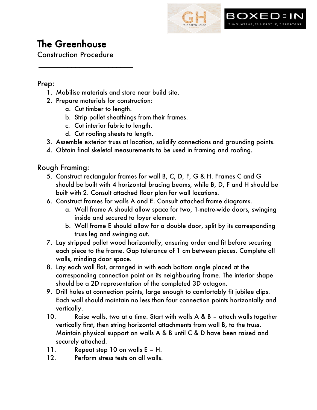

# The Greenhouse

Construction Procedure

 $\overline{\phantom{a}}$ 

#### Prep:

- 1. Mobilise materials and store near build site.
- 2. Prepare materials for construction:
	- a. Cut timber to length.
	- b. Strip pallet sheathings from their frames.
	- c. Cut interior fabric to length.
	- d. Cut roofing sheets to length.
- 3. Assemble exterior truss at location, solidify connections and grounding points.
- 4. Obtain final skeletal measurements to be used in framing and roofing.

### Rough Framing:

- 5. Construct rectangular frames for wall B, C, D, F, G & H. Frames C and G should be built with 4 horizontal bracing beams, while B, D, F and H should be built with 2. Consult attached floor plan for wall locations.
- 6. Construct frames for walls A and E. Consult attached frame diagrams.
	- a. Wall frame A should allow space for two, 1-metre-wide doors, swinging inside and secured to foyer element.
	- b. Wall frame E should allow for a double door, split by its corresponding truss leg and swinging out.
- 7. Lay stripped pallet wood horizontally, ensuring order and fit before securing each piece to the frame. Gap tolerance of 1 cm between pieces. Complete all walls, minding door space.
- 8. Lay each wall flat, arranged in with each bottom angle placed at the corresponding connection point on its neighbouring frame. The interior shape should be a 2D representation of the completed 3D octagon.
- 9. Drill holes at connection points, large enough to comfortably fit jubilee clips. Each wall should maintain no less than four connection points horizontally and vertically.
- 10. Raise walls, two at a time. Start with walls A & B attach walls together vertically first, then string horizontal attachments from wall B, to the truss. Maintain physical support on walls A & B until C & D have been raised and securely attached.
- 11. Repeat step 10 on walls E H.
- 12. Perform stress tests on all walls.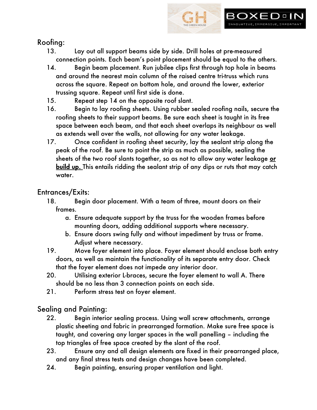

# Roofing:

- 13. Lay out all support beams side by side. Drill holes at pre-measured connection points. Each beam's point placement should be equal to the others.
- 14. Begin beam placement. Run jubilee clips first through top hole in beams and around the nearest main column of the raised centre tri-truss which runs across the square. Repeat on bottom hole, and around the lower, exterior trussing square. Repeat until first side is done.
- 15. Repeat step 14 on the opposite roof slant.
- 16. Begin to lay roofing sheets. Using rubber sealed roofing nails, secure the roofing sheets to their support beams. Be sure each sheet is taught in its free space between each beam, and that each sheet overlaps its neighbour as well as extends well over the walls, not allowing for any water leakage.
- 17. Once confident in roofing sheet security, lay the sealant strip along the peak of the roof. Be sure to point the strip as much as possible, sealing the sheets of the two roof slants together, so as not to allow any water leakage or build up. This entails ridding the sealant strip of any dips or ruts that may catch water.

# Entrances/Exits:

- 18. Begin door placement. With a team of three, mount doors on their frames.
	- a. Ensure adequate support by the truss for the wooden frames before mounting doors, adding additional supports where necessary.
	- b. Ensure doors swing fully and without impediment by truss or frame. Adjust where necessary.
- 19. Move foyer element into place. Foyer element should enclose both entry doors, as well as maintain the functionality of its separate entry door. Check that the foyer element does not impede any interior door.
- 20. Utilising exterior L-braces, secure the foyer element to wall A. There should be no less than 3 connection points on each side.
- 21. Perform stress test on foyer element.

# Sealing and Painting:

- 22. Begin interior sealing process. Using wall screw attachments, arrange plastic sheeting and fabric in prearranged formation. Make sure free space is taught, and covering any larger spaces in the wall panelling – including the top triangles of free space created by the slant of the roof.
- 23. Ensure any and all design elements are fixed in their prearranged place, and any final stress tests and design changes have been completed.
- 24. Begin painting, ensuring proper ventilation and light.